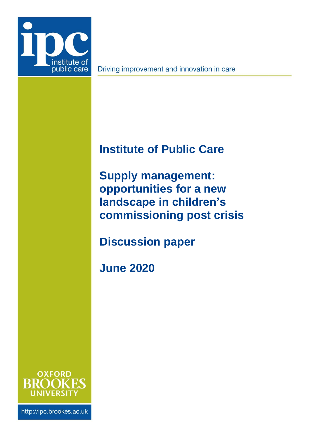

Driving improvement and innovation in care

# <span id="page-0-2"></span>**Institute of Public Care**

<span id="page-0-0"></span>**Supply management: opportunities for a new landscape in children's commissioning post crisis**

**Discussion paper**

<span id="page-0-1"></span>**June 2020**



http://ipc.brookes.ac.uk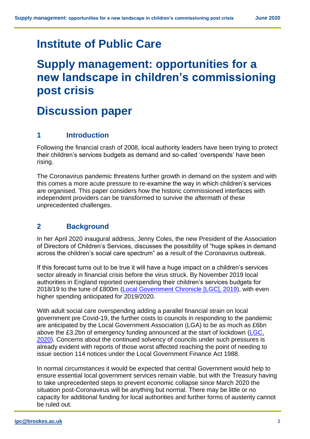## **[Institute of Public Care](#page-0-2)**

# **[Supply management: opportunities for a](#page-0-0)  [new landscape in children's commissioning](#page-0-0)  [post crisis](#page-0-0)**

# **Discussion paper**

### **1 Introduction**

Following the financial crash of 2008, local authority leaders have been trying to protect their children's services budgets as demand and so-called 'overspends' have been rising.

The Coronavirus pandemic threatens further growth in demand on the system and with this comes a more acute pressure to re-examine the way in which children's services are organised. This paper considers how the historic commissioned interfaces with independent providers can be transformed to survive the aftermath of these unprecedented challenges.

## **2 Background**

In her April 2020 inaugural address, Jenny Coles, the new President of the Association of Directors of Children's Services, discusses the possibility of "huge spikes in demand across the children's social care spectrum" as a result of the Coronavirus outbreak.

If this forecast turns out to be true it will have a huge impact on a children's services sector already in financial crisis before the virus struck. By November 2019 local authorities in England reported overspending their children's services budgets for 2018/19 to the tune of £800m [\(Local Government Chronicle](https://www.lgcplus.com/services/children/revealed-childrens-services-budgets-blown-as-spend-continues-to-rise-18-11-2019) [LGC], 2019), with even higher spending anticipated for 2019/2020.

With adult social care overspending adding a parallel financial strain on local government pre Covid-19, the further costs to councils in responding to the pandemic are anticipated by the Local Government Association (LGA) to be as much as £6bn above the £3.2bn of emergency funding announced at the start of lockdown (LGC, [2020\)](https://www.lgcplus.com/finance/lga-warns-of-in-year-cuts-as-it-reveals-6bn-covid-impact-29-05-2020). Concerns about the continued solvency of councils under such pressures is already evident with reports of those worst affected reaching the point of needing to issue section 114 notices under the Local Government Finance Act 1988.

In normal circumstances it would be expected that central Government would help to ensure essential local government services remain viable, but with the Treasury having to take unprecedented steps to prevent economic collapse since March 2020 the situation post-Coronavirus will be anything but normal. There may be little or no capacity for additional funding for local authorities and further forms of austerity cannot be ruled out.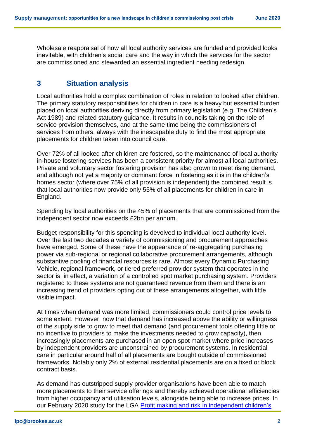Wholesale reappraisal of how all local authority services are funded and provided looks inevitable, with children's social care and the way in which the services for the sector are commissioned and stewarded an essential ingredient needing redesign.

### **3 Situation analysis**

Local authorities hold a complex combination of roles in relation to looked after children. The primary statutory responsibilities for children in care is a heavy but essential burden placed on local authorities deriving directly from primary legislation (e.g. The Children's Act 1989) and related statutory guidance. It results in councils taking on the role of service provision themselves, and at the same time being the commissioners of services from others, always with the inescapable duty to find the most appropriate placements for children taken into council care.

Over 72% of all looked after children are fostered, so the maintenance of local authority in-house fostering services has been a consistent priority for almost all local authorities. Private and voluntary sector fostering provision has also grown to meet rising demand, and although not yet a majority or dominant force in fostering as it is in the children's homes sector (where over 75% of all provision is independent) the combined result is that local authorities now provide only 55% of all placements for children in care in England.

Spending by local authorities on the 45% of placements that are commissioned from the independent sector now exceeds £2bn per annum.

Budget responsibility for this spending is devolved to individual local authority level. Over the last two decades a variety of commissioning and procurement approaches have emerged. Some of these have the appearance of re-aggregating purchasing power via sub-regional or regional collaborative procurement arrangements, although substantive pooling of financial resources is rare. Almost every Dynamic Purchasing Vehicle, regional framework, or tiered preferred provider system that operates in the sector is, in effect, a variation of a controlled spot market purchasing system. Providers registered to these systems are not guaranteed revenue from them and there is an increasing trend of providers opting out of these arrangements altogether, with little visible impact.

At times when demand was more limited, commissioners could control price levels to some extent. However, now that demand has increased above the ability or willingness of the supply side to grow to meet that demand (and procurement tools offering little or no incentive to providers to make the investments needed to grow capacity), then increasingly placements are purchased in an open spot market where price increases by independent providers are unconstrained by procurement systems. In residential care in particular around half of all placements are bought outside of commissioned frameworks. Notably only 2% of external residential placements are on a fixed or block contract basis.

As demand has outstripped supply provider organisations have been able to match more placements to their service offerings and thereby achieved operational efficiencies from higher occupancy and utilisation levels, alongside being able to increase prices. In our February 2020 study for the LGA Profit making and risk in independent children's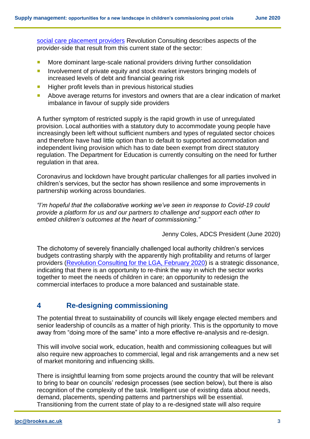[social care placement providers](https://www.local.gov.uk/profit-making-and-risk-independent-childrens-social-care-placement-providers) Revolution Consulting describes aspects of the provider-side that result from this current state of the sector:

- **More dominant large-scale national providers driving further consolidation**
- **Involvement of private equity and stock market investors bringing models of** increased levels of debt and financial gearing risk
- $\blacksquare$  Higher profit levels than in previous historical studies
- Above average returns for investors and owners that are a clear indication of market imbalance in favour of supply side providers

A further symptom of restricted supply is the rapid growth in use of unregulated provision. Local authorities with a statutory duty to accommodate young people have increasingly been left without sufficient numbers and types of regulated sector choices and therefore have had little option than to default to supported accommodation and independent living provision which has to date been exempt from direct statutory regulation. The Department for Education is currently consulting on the need for further regulation in that area.

Coronavirus and lockdown have brought particular challenges for all parties involved in children's services, but the sector has shown resilience and some improvements in partnership working across boundaries.

*"I'm hopeful that the collaborative working we've seen in response to Covid-19 could provide a platform for us and our partners to challenge and support each other to embed children's outcomes at the heart of commissioning."*

Jenny Coles, ADCS President (June 2020)

The dichotomy of severely financially challenged local authority children's services budgets contrasting sharply with the apparently high profitability and returns of larger providers [\(Revolution Consulting for the LGA, February 2020\)](https://www.local.gov.uk/profit-making-and-risk-independent-childrens-social-care-placement-providers) is a strategic dissonance, indicating that there is an opportunity to re-think the way in which the sector works together to meet the needs of children in care; an opportunity to redesign the commercial interfaces to produce a more balanced and sustainable state.

## **4 Re-designing commissioning**

The potential threat to sustainability of councils will likely engage elected members and senior leadership of councils as a matter of high priority. This is the opportunity to move away from "doing more of the same" into a more effective re-analysis and re-design.

This will involve social work, education, health and commissioning colleagues but will also require new approaches to commercial, legal and risk arrangements and a new set of market monitoring and influencing skills.

There is insightful learning from some projects around the country that will be relevant to bring to bear on councils' redesign processes (see section below), but there is also recognition of the complexity of the task. Intelligent use of existing data about needs, demand, placements, spending patterns and partnerships will be essential. Transitioning from the current state of play to a re-designed state will also require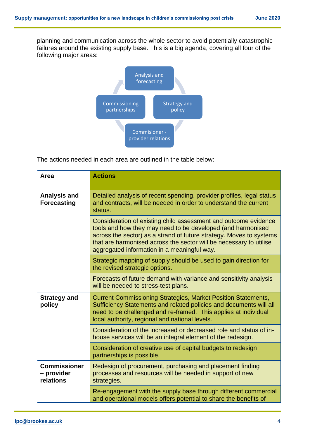planning and communication across the whole sector to avoid potentially catastrophic failures around the existing supply base. This is a big agenda, covering all four of the following major areas:



The actions needed in each area are outlined in the table below:

| Area                                           | <b>Actions</b>                                                                                                                                                                                                                                                                                                             |
|------------------------------------------------|----------------------------------------------------------------------------------------------------------------------------------------------------------------------------------------------------------------------------------------------------------------------------------------------------------------------------|
| <b>Analysis and</b><br><b>Forecasting</b>      | Detailed analysis of recent spending, provider profiles, legal status<br>and contracts, will be needed in order to understand the current<br>status.                                                                                                                                                                       |
|                                                | Consideration of existing child assessment and outcome evidence<br>tools and how they may need to be developed (and harmonised<br>across the sector) as a strand of future strategy. Moves to systems<br>that are harmonised across the sector will be necessary to utilise<br>aggregated information in a meaningful way. |
|                                                | Strategic mapping of supply should be used to gain direction for<br>the revised strategic options.                                                                                                                                                                                                                         |
|                                                | Forecasts of future demand with variance and sensitivity analysis<br>will be needed to stress-test plans.                                                                                                                                                                                                                  |
| <b>Strategy and</b><br>policy                  | <b>Current Commissioning Strategies, Market Position Statements,</b><br>Sufficiency Statements and related policies and documents will all<br>need to be challenged and re-framed. This applies at individual<br>local authority, regional and national levels.                                                            |
|                                                | Consideration of the increased or decreased role and status of in-<br>house services will be an integral element of the redesign.                                                                                                                                                                                          |
|                                                | Consideration of creative use of capital budgets to redesign<br>partnerships is possible.                                                                                                                                                                                                                                  |
| <b>Commissioner</b><br>- provider<br>relations | Redesign of procurement, purchasing and placement finding<br>processes and resources will be needed in support of new<br>strategies.                                                                                                                                                                                       |
|                                                | Re-engagement with the supply base through different commercial<br>and operational models offers potential to share the benefits of                                                                                                                                                                                        |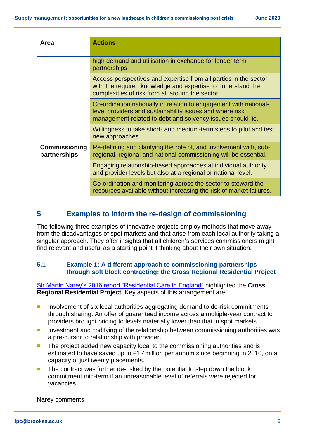| Area                          | <b>Actions</b>                                                                                                                                                                              |
|-------------------------------|---------------------------------------------------------------------------------------------------------------------------------------------------------------------------------------------|
|                               | high demand and utilisation in exchange for longer term<br>partnerships.                                                                                                                    |
|                               | Access perspectives and expertise from all parties in the sector<br>with the required knowledge and expertise to understand the<br>complexities of risk from all around the sector.         |
|                               | Co-ordination nationally in relation to engagement with national-<br>level providers and sustainability issues and where risk<br>management related to debt and solvency issues should lie. |
|                               | Willingness to take short- and medium-term steps to pilot and test<br>new approaches.                                                                                                       |
| Commissioning<br>partnerships | Re-defining and clarifying the role of, and involvement with, sub-<br>regional, regional and national commissioning will be essential.                                                      |
|                               | Engaging relationship-based approaches at individual authority<br>and provider levels but also at a regional or national level.                                                             |
|                               | Co-ordination and monitoring across the sector to steward the<br>resources available without increasing the risk of market failures.                                                        |

## **5 Examples to inform the re-design of commissioning**

The following three examples of innovative projects employ methods that move away from the disadvantages of spot markets and that arise from each local authority taking a singular approach. They offer insights that all children's services commissioners might find relevant and useful as a starting point if thinking about their own situation:

#### **5.1 Example 1: A different approach to commissioning partnerships through soft block contracting: the Cross Regional Residential Project**

[Sir Martin Narey's 2016 report "Residential Care in England"](https://assets.publishing.service.gov.uk/government/uploads/system/uploads/attachment_data/file/534560/Residential-Care-in-England-Sir-Martin-Narey-July-2016.pdf) highlighted the **Cross Regional Residential Project.** Key aspects of this arrangement are:

- **Involvement of six local authorities aggregating demand to de-risk commitments** through sharing. An offer of guaranteed income across a multiple-year contract to providers brought pricing to levels materially lower than that in spot markets.
- **Investment and codifying of the relationship between commissioning authorities was** a pre-cursor to relationship with provider.
- **The project added new capacity local to the commissioning authorities and is** estimated to have saved up to £1.4million per annum since beginning in 2010, on a capacity of just twenty placements.
- The contract was further de-risked by the potential to step down the block commitment mid-term if an unreasonable level of referrals were rejected for vacancies.

Narey comments: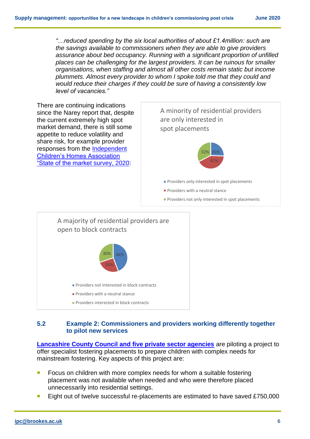*"…reduced spending by the six local authorities of about £1.4million: such are the savings available to commissioners when they are able to give providers assurance about bed occupancy. Running with a significant proportion of unfilled places can be challenging for the largest providers. It can be ruinous for smaller organisations, when staffing and almost all other costs remain static but income plummets. Almost every provider to whom I spoke told me that they could and would reduce their charges if they could be sure of having a consistently low level of vacancies."*

There are continuing indications since the Narey report that, despite the current extremely high spot market demand, there is still some appetite to reduce volatility and share risk, for example provider responses from the [Independent](https://www.icha.org.uk/wp-content/uploads/2020/02/ICHA-Jan-2020-survey-12-Feb-2020-FINAL.pdf)  [Children's Homes Association](https://www.icha.org.uk/wp-content/uploads/2020/02/ICHA-Jan-2020-survey-12-Feb-2020-FINAL.pdf)  ["State of the market survey, 2020:](https://www.icha.org.uk/wp-content/uploads/2020/02/ICHA-Jan-2020-survey-12-Feb-2020-FINAL.pdf)





#### **5.2 Example 2: Commissioners and providers working differently together to pilot new services**

**[Lancashire County Council and five private sector agencies](https://www.cypnow.co.uk/news/article/in-the-next-edition-of-cyp-now-lessons-from-the-lockdown-devolution-in-children-s-services-and-commissioning-special-report)** are piloting a project to offer specialist fostering placements to prepare children with complex needs for mainstream fostering. Key aspects of this project are:

- Focus on children with more complex needs for whom a suitable fostering placement was not available when needed and who were therefore placed unnecessarily into residential settings.
- Eight out of twelve successful re-placements are estimated to have saved £750,000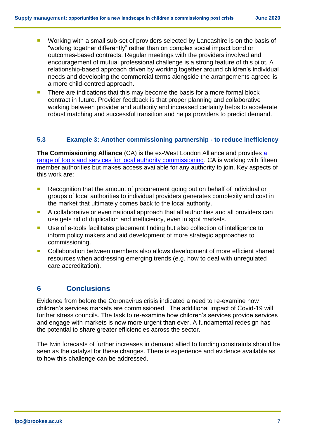- **Working with a small sub-set of providers selected by Lancashire is on the basis of** "working together differently" rather than on complex social impact bond or outcomes-based contracts. Regular meetings with the providers involved and encouragement of mutual professional challenge is a strong feature of this pilot. A relationship-based approach driven by working together around children's individual needs and developing the commercial terms alongside the arrangements agreed is a more child-centred approach.
- There are indications that this may become the basis for a more formal block contract in future. Provider feedback is that proper planning and collaborative working between provider and authority and increased certainty helps to accelerate robust matching and successful transition and helps providers to predict demand.

#### **5.3 Example 3: Another commissioning partnership - to reduce inefficiency**

**The Commissioning Alliance** (CA) is the ex-West London Alliance and provides [a](https://www.cypnow.co.uk/other/article/practice-commissioning-placements-alliance-helps-councils-build-bridges-with-providers)  [range of tools and services for local authority commissioning.](https://www.cypnow.co.uk/other/article/practice-commissioning-placements-alliance-helps-councils-build-bridges-with-providers) CA is working with fifteen member authorities but makes access available for any authority to join. Key aspects of this work are:

- Recognition that the amount of procurement going out on behalf of individual or groups of local authorities to individual providers generates complexity and cost in the market that ultimately comes back to the local authority.
- A collaborative or even national approach that all authorities and all providers can use gets rid of duplication and inefficiency, even in spot markets.
- Use of e-tools facilitates placement finding but also collection of intelligence to inform policy makers and aid development of more strategic approaches to commissioning.
- Collaboration between members also allows development of more efficient shared resources when addressing emerging trends (e.g. how to deal with unregulated care accreditation).

### **6 Conclusions**

Evidence from before the Coronavirus crisis indicated a need to re-examine how children's services markets are commissioned. The additional impact of Covid-19 will further stress councils. The task to re-examine how children's services provide services and engage with markets is now more urgent than ever. A fundamental redesign has the potential to share greater efficiencies across the sector.

The twin forecasts of further increases in demand allied to funding constraints should be seen as the catalyst for these changes. There is experience and evidence available as to how this challenge can be addressed.